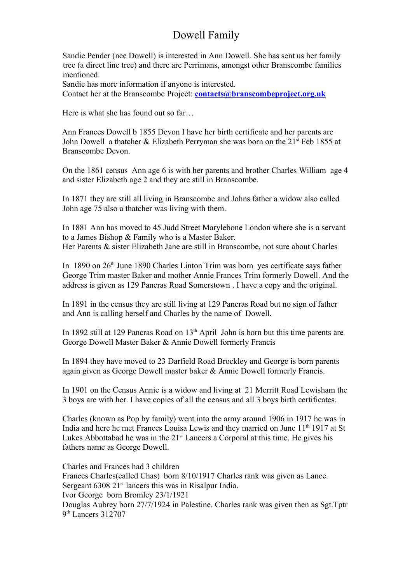## Dowell Family

 Sandie Pender (nee Dowell) is interested in Ann Dowell. She has sent us her family tree (a direct line tree) and there are Perrimans, amongst other Branscombe families mentioned.

Sandie has more information if anyone is interested.

Contact her at the Branscombe Project: **[contacts@branscombeproject.org.uk](mailto:contacts@branscombeproject.org.uk)**

Here is what she has found out so far…

 Ann Frances Dowell b 1855 Devon I have her birth certificate and her parents are John Dowell a thatcher  $& Elizabeth$  Perryman she was born on the 21<sup>st</sup> Feb 1855 at Branscombe Devon.

On the 1861 census Ann age 6 is with her parents and brother Charles William age 4 and sister Elizabeth age 2 and they are still in Branscombe.

In 1871 they are still all living in Branscombe and Johns father a widow also called John age 75 also a thatcher was living with them.

In 1881 Ann has moved to 45 Judd Street Marylebone London where she is a servant to a James Bishop & Family who is a Master Baker. Her Parents & sister Elizabeth Jane are still in Branscombe, not sure about Charles

In 1890 on 26<sup>th</sup> June 1890 Charles Linton Trim was born yes certificate says father George Trim master Baker and mother Annie Frances Trim formerly Dowell. And the address is given as 129 Pancras Road Somerstown . I have a copy and the original.

In 1891 in the census they are still living at 129 Pancras Road but no sign of father and Ann is calling herself and Charles by the name of Dowell.

In 1892 still at 129 Pancras Road on  $13<sup>th</sup>$  April John is born but this time parents are George Dowell Master Baker & Annie Dowell formerly Francis

In 1894 they have moved to 23 Darfield Road Brockley and George is born parents again given as George Dowell master baker & Annie Dowell formerly Francis.

In 1901 on the Census Annie is a widow and living at 21 Merritt Road Lewisham the 3 boys are with her. I have copies of all the census and all 3 boys birth certificates.

Charles (known as Pop by family) went into the army around 1906 in 1917 he was in India and here he met Frances Louisa Lewis and they married on June 11<sup>th</sup> 1917 at St Lukes Abbottabad he was in the  $21<sup>st</sup>$  Lancers a Corporal at this time. He gives his fathers name as George Dowell.

Charles and Frances had 3 children Frances Charles(called Chas) born 8/10/1917 Charles rank was given as Lance. Sergeant 6308 21<sup>st</sup> lancers this was in Risalpur India. Ivor George born Bromley 23/1/1921 Douglas Aubrey born 27/7/1924 in Palestine. Charles rank was given then as Sgt.Tptr 9<sup>th</sup> Lancers 312707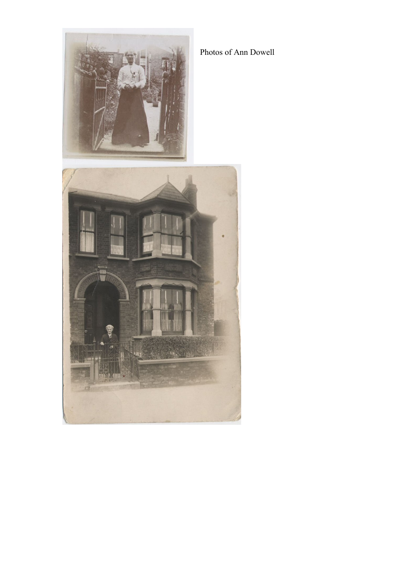

Photos of Ann Dowell